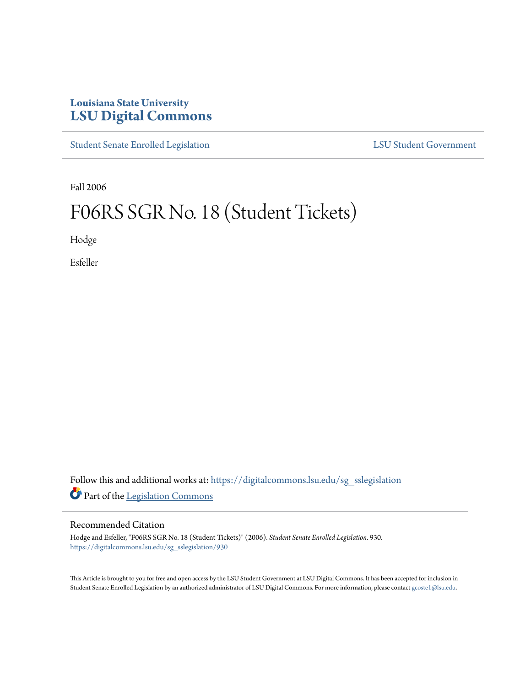## **Louisiana State University [LSU Digital Commons](https://digitalcommons.lsu.edu?utm_source=digitalcommons.lsu.edu%2Fsg_sslegislation%2F930&utm_medium=PDF&utm_campaign=PDFCoverPages)**

[Student Senate Enrolled Legislation](https://digitalcommons.lsu.edu/sg_sslegislation?utm_source=digitalcommons.lsu.edu%2Fsg_sslegislation%2F930&utm_medium=PDF&utm_campaign=PDFCoverPages) [LSU Student Government](https://digitalcommons.lsu.edu/sg?utm_source=digitalcommons.lsu.edu%2Fsg_sslegislation%2F930&utm_medium=PDF&utm_campaign=PDFCoverPages)

Fall 2006

## F06RS SGR No. 18 (Student Tickets)

Hodge

Esfeller

Follow this and additional works at: [https://digitalcommons.lsu.edu/sg\\_sslegislation](https://digitalcommons.lsu.edu/sg_sslegislation?utm_source=digitalcommons.lsu.edu%2Fsg_sslegislation%2F930&utm_medium=PDF&utm_campaign=PDFCoverPages) Part of the [Legislation Commons](http://network.bepress.com/hgg/discipline/859?utm_source=digitalcommons.lsu.edu%2Fsg_sslegislation%2F930&utm_medium=PDF&utm_campaign=PDFCoverPages)

## Recommended Citation

Hodge and Esfeller, "F06RS SGR No. 18 (Student Tickets)" (2006). *Student Senate Enrolled Legislation*. 930. [https://digitalcommons.lsu.edu/sg\\_sslegislation/930](https://digitalcommons.lsu.edu/sg_sslegislation/930?utm_source=digitalcommons.lsu.edu%2Fsg_sslegislation%2F930&utm_medium=PDF&utm_campaign=PDFCoverPages)

This Article is brought to you for free and open access by the LSU Student Government at LSU Digital Commons. It has been accepted for inclusion in Student Senate Enrolled Legislation by an authorized administrator of LSU Digital Commons. For more information, please contact [gcoste1@lsu.edu.](mailto:gcoste1@lsu.edu)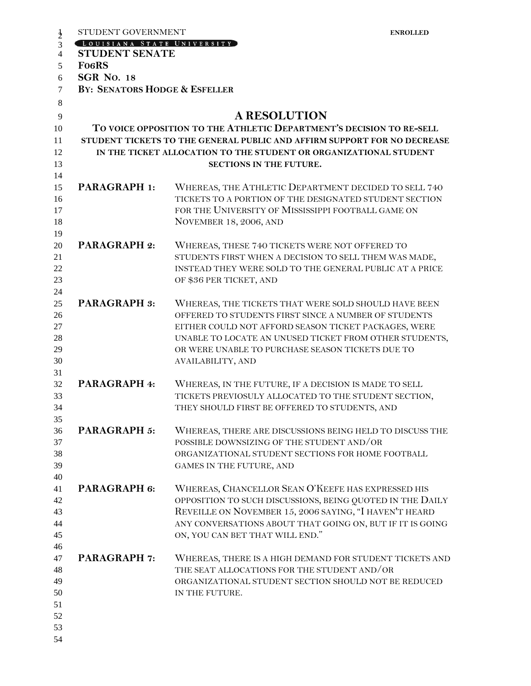|                                          | LOUISIANA STATE UNIVERSITY                                                                                                                                                                                                                                                                              |
|------------------------------------------|---------------------------------------------------------------------------------------------------------------------------------------------------------------------------------------------------------------------------------------------------------------------------------------------------------|
| <b>STUDENT SENATE</b><br><b>FO6RS</b>    |                                                                                                                                                                                                                                                                                                         |
| <b>SGR No. 18</b>                        |                                                                                                                                                                                                                                                                                                         |
| <b>BY: SENATORS HODGE &amp; ESFELLER</b> |                                                                                                                                                                                                                                                                                                         |
|                                          |                                                                                                                                                                                                                                                                                                         |
|                                          | <b>A RESOLUTION</b>                                                                                                                                                                                                                                                                                     |
|                                          | TO VOICE OPPOSITION TO THE ATHLETIC DEPARTMENT'S DECISION TO RE-SELL<br>STUDENT TICKETS TO THE GENERAL PUBLIC AND AFFIRM SUPPORT FOR NO DECREASE<br>IN THE TICKET ALLOCATION TO THE STUDENT OR ORGANIZATIONAL STUDENT<br><b>SECTIONS IN THE FUTURE.</b>                                                 |
| <b>PARAGRAPH 1:</b>                      | WHEREAS, THE ATHLETIC DEPARTMENT DECIDED TO SELL 740<br>TICKETS TO A PORTION OF THE DESIGNATED STUDENT SECTION<br>FOR THE UNIVERSITY OF MISSISSIPPI FOOTBALL GAME ON<br>NOVEMBER 18, 2006, AND                                                                                                          |
| <b>PARAGRAPH 2:</b>                      | WHEREAS, THESE 740 TICKETS WERE NOT OFFERED TO<br>STUDENTS FIRST WHEN A DECISION TO SELL THEM WAS MADE,<br>INSTEAD THEY WERE SOLD TO THE GENERAL PUBLIC AT A PRICE<br>OF \$36 PER TICKET, AND                                                                                                           |
| <b>PARAGRAPH 3:</b>                      | WHEREAS, THE TICKETS THAT WERE SOLD SHOULD HAVE BEEN<br>OFFERED TO STUDENTS FIRST SINCE A NUMBER OF STUDENTS<br>EITHER COULD NOT AFFORD SEASON TICKET PACKAGES, WERE<br>UNABLE TO LOCATE AN UNUSED TICKET FROM OTHER STUDENTS,<br>OR WERE UNABLE TO PURCHASE SEASON TICKETS DUE TO<br>AVAILABILITY, AND |
| <b>PARAGRAPH 4:</b>                      | WHEREAS, IN THE FUTURE, IF A DECISION IS MADE TO SELL<br>TICKETS PREVIOSULY ALLOCATED TO THE STUDENT SECTION,<br>THEY SHOULD FIRST BE OFFERED TO STUDENTS, AND                                                                                                                                          |
| <b>PARAGRAPH 5:</b>                      | WHEREAS, THERE ARE DISCUSSIONS BEING HELD TO DISCUSS THE<br>POSSIBLE DOWNSIZING OF THE STUDENT AND/OR<br>ORGANIZATIONAL STUDENT SECTIONS FOR HOME FOOTBALL<br><b>GAMES IN THE FUTURE, AND</b>                                                                                                           |
| PARAGRAPH 6:                             | WHEREAS, CHANCELLOR SEAN O'KEEFE HAS EXPRESSED HIS<br>OPPOSITION TO SUCH DISCUSSIONS, BEING QUOTED IN THE DAILY<br>REVEILLE ON NOVEMBER 15, 2006 SAYING, "I HAVEN'T HEARD<br>ANY CONVERSATIONS ABOUT THAT GOING ON, BUT IF IT IS GOING<br>ON, YOU CAN BET THAT WILL END."                               |
| <b>PARAGRAPH 7:</b>                      | WHEREAS, THERE IS A HIGH DEMAND FOR STUDENT TICKETS AND<br>THE SEAT ALLOCATIONS FOR THE STUDENT AND/OR<br>ORGANIZATIONAL STUDENT SECTION SHOULD NOT BE REDUCED<br>IN THE FUTURE.                                                                                                                        |